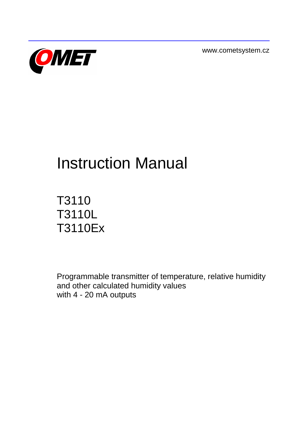www.cometsystem.cz



# Instruction Manual

# T3110 T3110L T3110Ex

Programmable transmitter of temperature, relative humidity and other calculated humidity values with 4 - 20 mA outputs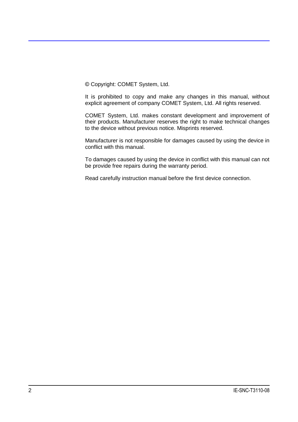© Copyright: COMET System, Ltd.

It is prohibited to copy and make any changes in this manual, without explicit agreement of company COMET System, Ltd. All rights reserved.

COMET System, Ltd. makes constant development and improvement of their products. Manufacturer reserves the right to make technical changes to the device without previous notice. Misprints reserved.

Manufacturer is not responsible for damages caused by using the device in conflict with this manual.

To damages caused by using the device in conflict with this manual can not be provide free repairs during the warranty period.

Read carefully instruction manual before the first device connection.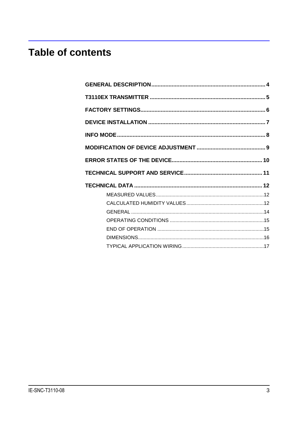## **Table of contents**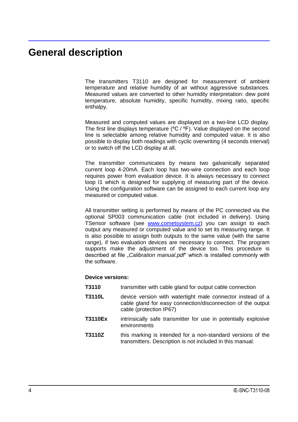### <span id="page-3-0"></span>**General description**

The transmitters T3110 are designed for measurement of ambient temperature and relative humidity of air without aggressive substances. Measured values are converted to other humidity interpretation: dew point temperature, absolute humidity, specific humidity, mixing ratio, specific enthalpy.

Measured and computed values are displayed on a two-line LCD display. The first line displays temperature (ºC / ºF). Value displayed on the second line is selectable among relative humidity and computed value. It is also possible to display both readings with cyclic overwriting (4 seconds interval) or to switch off the LCD display at all.

The transmitter communicates by means two galvanically separated current loop 4-20mA. Each loop has two-wire connection and each loop requires power from evaluation device. It is always necessary to connect loop I1 which is designed for supplying of measuring part of the device. Using the configuration software can be assigned to each current loop any measured or computed value.

All transmitter setting is performed by means of the PC connected via the optional SP003 communication cable (not included in delivery). Using TSensor software (see [www.cometsystem.cz\)](http://www.cometsystem.cz/) you can assign to each output any measured or computed value and to set its measuring range. It is also possible to assign both outputs to the same value (with the same range), if two evaluation devices are necessary to connect. The program supports make the adjustment of the device too. This procedure is described at file "*Calibration manual.pdf*" which is installed commonly with the software.

#### **Device versions:**

- **T3110** transmitter with cable gland for output cable connection
- **T3110L** device version with watertight male connector instead of a cable gland for easy connection/disconnection of the output cable (protection IP67)
- **T3110Ex** intrinsically safe transmitter for use in potentially explosive environments
- **T3110Z** this marking is intended for a non-standard versions of the transmitters. Description is not included in this manual.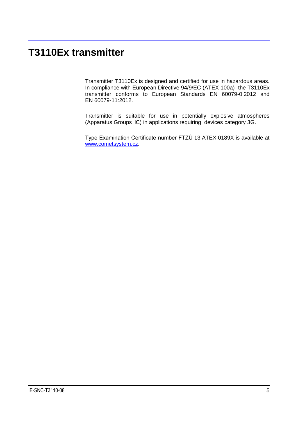### <span id="page-4-0"></span>**T3110Ex transmitter**

Transmitter T3110Ex is designed and certified for use in hazardous areas. In compliance with European Directive 94/9/EC (ATEX 100a) the T3110Ex transmitter conforms to European Standards EN 60079-0:2012 and EN 60079-11:2012.

Transmitter is suitable for use in potentially explosive atmospheres (Apparatus Groups llC) in applications requiring devices category 3G.

Type Examination Certificate number FTZÚ 13 ATEX 0189X is available at [www.cometsystem.cz.](http://www.cometsystem.cz/)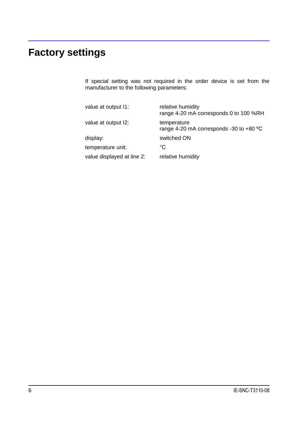# <span id="page-5-0"></span>**Factory settings**

If special setting was not required in the order device is set from the manufacturer to the following parameters:

| value at output I1:        | relative humidity<br>range 4-20 mA corresponds 0 to 100 %RH      |
|----------------------------|------------------------------------------------------------------|
| value at output I2:        | temperature<br>range 4-20 mA corresponds -30 to +80 $^{\circ}$ C |
| display:                   | switched ON                                                      |
| temperature unit:          | °C                                                               |
| value displayed at line 2: | relative humidity                                                |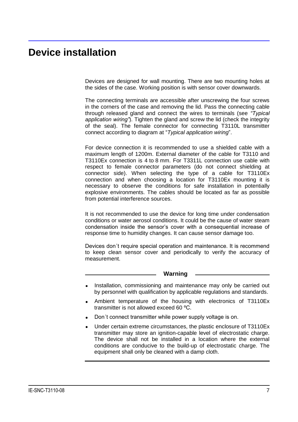### <span id="page-6-0"></span>**Device installation**

Devices are designed for wall mounting. There are two mounting holes at the sides of the case. Working position is with sensor cover downwards.

The connecting terminals are accessible after unscrewing the four screws in the corners of the case and removing the lid. Pass the connecting cable through released gland and connect the wires to terminals (see *"Typical application wiring"*). Tighten the gland and screw the lid (check the integrity of the seal). The female connector for connecting T3110L transmitter connect according to diagram at "*Typical application wiring*".

For device connection it is recommended to use a shielded cable with a maximum length of 1200m. External diameter of the cable for T3110 and T3110Ex connection is 4 to 8 mm. For T3311L connection use cable with respect to female connector parameters (do not connect shielding at connector side). When selecting the type of a cable for T3110Ex connection and when choosing a location for T3110Ex mounting it is necessary to observe the conditions for safe installation in potentially explosive environments. The cables should be located as far as possible from potential interference sources.

It is not recommended to use the device for long time under condensation conditions or water aerosol conditions. It could be the cause of water steam condensation inside the sensor's cover with a consequential increase of response time to humidity changes. It can cause sensor damage too.

Devices don´t require special operation and maintenance. It is recommend to keep clean sensor cover and periodically to verify the accuracy of measurement.

#### **Warning**

- Installation, commissioning and maintenance may only be carried out  $\bullet$ by personnel with qualification by applicable regulations and standards.
- Ambient temperature of the housing with electronics of T3110Ex  $\bullet$ transmitter is not allowed exceed 60 ºC.
- Don´t connect transmitter while power supply voltage is on.  $\bullet$
- Under certain extreme circumstances, the plastic enclosure of T3110Ex transmitter may store an ignition-capable level of electrostatic charge. The device shall not be installed in a location where the external conditions are conducive to the build-up of electrostatic charge. The equipment shall only be cleaned with a damp cloth.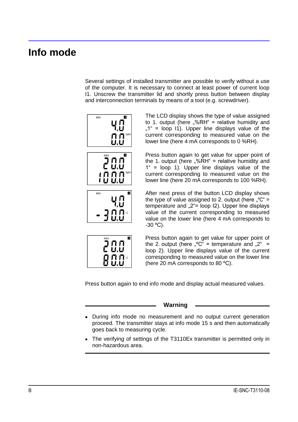### <span id="page-7-0"></span>**Info mode**

Several settings of installed transmitter are possible to verify without a use of the computer. It is necessary to connect at least power of current loop I1. Unscrew the transmitter lid and shortly press button between display and interconnection terminals by means of a tool (e.g. screwdriver).







The LCD display shows the type of value assigned to 1. output (here  $\sqrt{m}$ %RH" = relative humidity and  $,1$ " = loop I1). Upper line displays value of the current corresponding to measured value on the lower line (here 4 mA corresponds to 0 %RH).

Press button again to get value for upper point of the 1. output (here  $\sqrt{m}$ %RH" = relative humidity and 1" = loop 1). Upper line displays value of the current corresponding to measured value on the lower line (here 20 mA corresponds to 100 %RH).

After next press of the button LCD display shows the type of value assigned to 2. output (here  $C^* =$ temperature and  $2^{\circ}$ = loop I2). Upper line displays value of the current corresponding to measured value on the lower line (here 4 mA corresponds to  $-30$  °C).



Press button again to get value for upper point of the 2. output (here  $\sqrt[e]{c}$ " = temperature and  $\sqrt[e]{c}$ " = loop 2). Upper line displays value of the current corresponding to measured value on the lower line (here 20 mA corresponds to 80 ºC).

Press button again to end info mode and display actual measured values.

#### **Warning**

- During info mode no measurement and no output current generation proceed. The transmitter stays at info mode 15 s and then automatically goes back to measuring cycle.
- The verifying of settings of the T3110Ex transmitter is permitted only in non-hazardous area.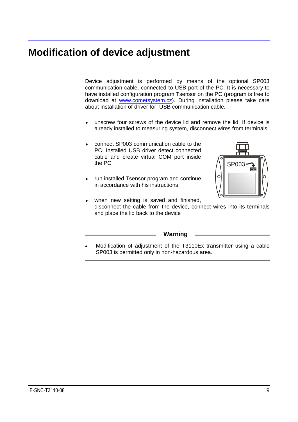### <span id="page-8-0"></span>**Modification of device adjustment**

Device adjustment is performed by means of the optional SP003 communication cable, connected to USB port of the PC. It is necessary to have installed configuration program Tsensor on the PC (program is free to download at [www.cometsystem.cz\)](http://www.cometsystem.cz/). During installation please take care about installation of driver for USB communication cable.

- unscrew four screws of the device lid and remove the lid. If device is  $\bullet$ already installed to measuring system, disconnect wires from terminals
- connect SP003 communication cable to the  $\bullet$ PC. Installed USB driver detect connected cable and create virtual COM port inside the PC
- run installed Tsensor program and continue  $\bullet$ in accordance with his instructions



when new setting is saved and finished,  $\bullet$ disconnect the cable from the device, connect wires into its terminals and place the lid back to the device

**Warning**

Modification of adjustment of the T3110Ex transmitter using a cable SP003 is permitted only in non-hazardous area.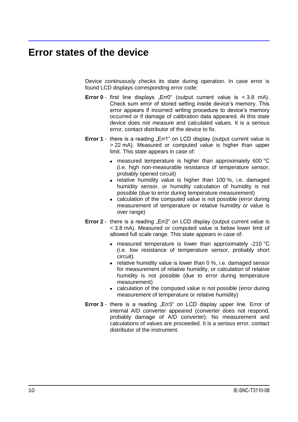### <span id="page-9-0"></span>**Error states of the device**

Device continuously checks its state during operation. In case error is found LCD displays corresponding error code:

- **Error**  $0$  first line displays "Err0" (output current value is  $\lt$  3.8 mA). Check sum error of stored setting inside device's memory. This error appears if incorrect writing procedure to device's memory occurred or if damage of calibration data appeared. At this state device does not measure and calculated values. It is a serious error, contact distributor of the device to fix.
- **Error 1** there is a reading "Err1" on LCD display (output current value is > 22 mA). Measured or computed value is higher than upper limit. This state appears in case of:
	- measured temperature is higher than approximately 600 °C  $\bullet$ (i.e. high non-measurable resistance of temperature sensor, probably opened circuit)
	- relative humidity value is higher than 100 %, i.e. damaged humidity sensor, or humidity calculation of humidity is not possible (due to error during temperature measurement)
	- calculation of the computed value is not possible (error during measurement of temperature or relative humidity or value is over range)
- **Error 2** there is a reading "Err2" on LCD display (output current value is < 3.8 mA). Measured or computed value is below lower limit of allowed full scale range. This state appears in case of:
	- measured temperature is lower than approximately -210 °C (i.e. low resistance of temperature sensor, probably short circuit).
	- relative humidity value is lower than  $0\%$ , i.e. damaged sensor for measurement of relative humidity, or calculation of relative humidity is not possible (due to error during temperature measurement)
	- calculation of the computed value is not possible (error during measurement of temperature or relative humidity)
- **Error** 3 there is a reading "Err3" on LCD display upper line. Error of internal A/D converter appeared (converter does not respond, probably damage of A/D converter). No measurement and calculations of values are proceeded. It is a serious error, contact distributor of the instrument.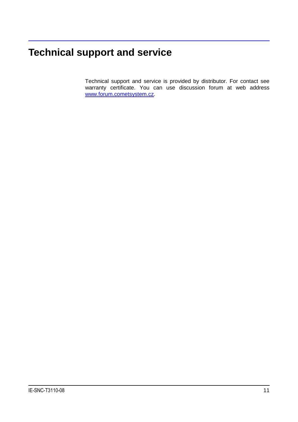# <span id="page-10-0"></span>**Technical support and service**

Technical support and service is provided by distributor. For contact see warranty certificate. You can use discussion forum at web address [www.forum.cometsystem.cz.](http://www.forum.cometsystem.cz/)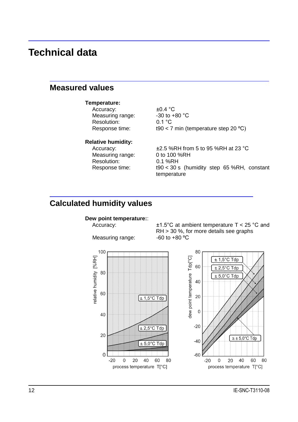### <span id="page-11-0"></span>**Technical data**

### <span id="page-11-1"></span>**Measured values**

#### **Temperature:**

Accuracy:  $\pm 0.4 \degree C$ Measuring range:  $-30$  to  $+80$  °C Resolution: 0.1 °C

Response time: t90 < 7 min (temperature step 20 ºC)

#### **Relative humidity:**

Measuring range: 0 to 100 %RH Resolution: 0.1 %RH

Accuracy:  $\pm 2.5$  %RH from 5 to 95 %RH at 23 °C Response time: t90 < 30 s (humidity step 65 %RH, constant temperature

### <span id="page-11-2"></span>**Calculated humidity values**

#### **Dew point temperature:**:

Measuring range:





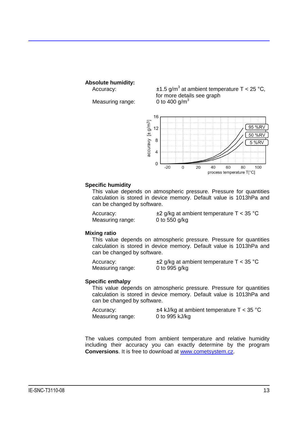#### **Absolute humidity:**

Measuring range:

Accuracy:  $\pm 1.5 \text{ g/m}^3$  at ambient temperature T < 25 °C, for more details see graph<br>0 to 400  $q/m<sup>3</sup>$ 



#### **Specific humidity**

This value depends on atmospheric pressure. Pressure for quantities calculation is stored in device memory. Default value is 1013hPa and can be changed by software.

Measuring range: 0 to 550 g/kg

Accuracy:  $\pm 2$  g/kg at ambient temperature T < 35 °C

#### **Mixing ratio**

This value depends on atmospheric pressure. Pressure for quantities calculation is stored in device memory. Default value is 1013hPa and can be changed by software.

Accuracy:  $\pm 2$  g/kg at ambient temperature T < 35 °C Measuring range: 0 to 995 g/kg

#### **Specific enthalpy**

This value depends on atmospheric pressure. Pressure for quantities calculation is stored in device memory. Default value is 1013hPa and can be changed by software.

| Accuracy:        | $\pm$ 4 kJ/kg at ambient temperature T < 35 °C |
|------------------|------------------------------------------------|
| Measuring range: | 0 to 995 kJ/kg                                 |

The values computed from ambient temperature and relative humidity including their accuracy you can exactly determine by the program **Conversions**. It is free to download at [www.cometsystem.cz.](http://www.cometsystem.cz/)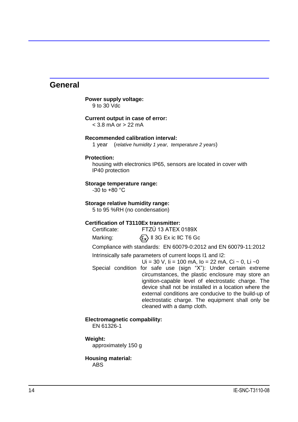#### <span id="page-13-0"></span>**General**

#### **Power supply voltage:** 9 to 30 Vdc

#### **Current output in case of error:**

 $<$  3.8 mA or  $>$  22 mA

#### **Recommended calibration interval:**

1 year (*relative humidity 1 year, temperature 2 years*)

#### **Protection:**

housing with electronics IP65, sensors are located in cover with IP40 protection

#### **Storage temperature range:**

 $-30$  to  $+80$  °C

#### **Storage relative humidity range:**

5 to 95 %RH (no condensation)

#### **Certification of T3110Ex transmitter:**

Certificate: FTZÚ 13 ATEX 0189X

Marking:  $\langle \xi_{\mathbf{x}} \rangle$  II 3G Ex ic IIC T6 Gc

Compliance with standards: EN 60079-0:2012 and EN 60079-11:2012

Intrinsically safe parameters of current loops I1 and I2:

 $Ui = 30 V$ ,  $道 = 100 mA$ ,  $lo = 22 mA$ ,  $Ci ~ 0$ ,  $Li ~ 0$ 

Special condition for safe use (sign "X"): Under certain extreme circumstances, the plastic enclosure may store an ignition-capable level of electrostatic charge. The device shall not be installed in a location where the external conditions are conducive to the build-up of electrostatic charge. The equipment shall only be cleaned with a damp cloth.

#### **Electromagnetic compability:**

EN 61326-1

#### **Weight:**

approximately 150 g

#### **Housing material:**

ABS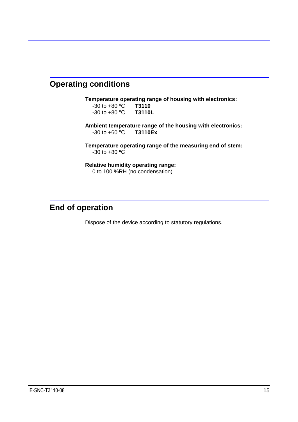### <span id="page-14-0"></span>**Operating conditions**

**Temperature operating range of housing with electronics:** -30 to +80 ºC **T3110**  $-30$  to  $+80$  <sup>o</sup>C

**Ambient temperature range of the housing with electronics:** -30 to +60 ºC **T3110Ex**

**Temperature operating range of the measuring end of stem:** -30 to +80 ºC

**Relative humidity operating range:** 0 to 100 %RH (no condensation)

### <span id="page-14-1"></span>**End of operation**

Dispose of the device according to statutory regulations.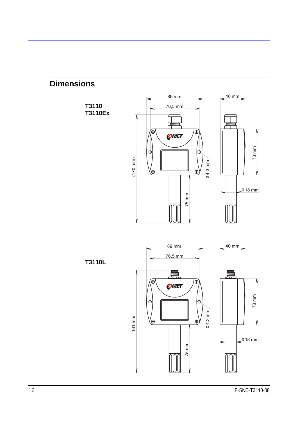<span id="page-15-0"></span>

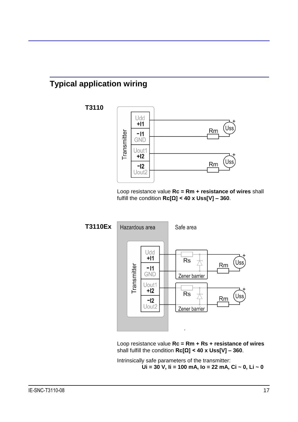### <span id="page-16-0"></span>**Typical application wiring**

**T3110**



Loop resistance value **Rc = Rm + resistance of wires** shall fulfill the condition **Rc[Ω] < 40 x Uss[V] – 360**.



Loop resistance value **Rc = Rm + Rs + resistance of wires**  shall fulfill the condition **Rc[Ω] < 40 x Uss[V] – 360**.

Intrinsically safe parameters of the transmitter: **Ui = 30 V, Ii = 100 mA, Io = 22 mA, Ci ~ 0, Li ~ 0**